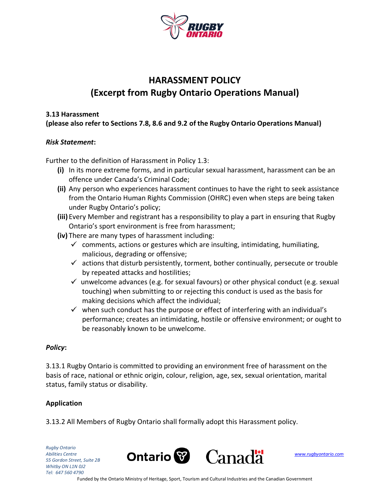

# **HARASSMENT POLICY (Excerpt from Rugby Ontario Operations Manual)**

#### **3.13 Harassment**

**(please also refer to Sections 7.8, 8.6 and 9.2 of the Rugby Ontario Operations Manual)**

#### *Risk Statement***:**

Further to the definition of Harassment in Policy 1.3:

- **(i)** In its more extreme forms, and in particular sexual harassment, harassment can be an offence under Canada's Criminal Code;
- **(ii)** Any person who experiences harassment continues to have the right to seek assistance from the Ontario Human Rights Commission (OHRC) even when steps are being taken under Rugby Ontario's policy;
- **(iii)** Every Member and registrant has a responsibility to play a part in ensuring that Rugby Ontario's sport environment is free from harassment;
- **(iv)** There are many types of harassment including:
	- $\checkmark$  comments, actions or gestures which are insulting, intimidating, humiliating, malicious, degrading or offensive;
	- $\checkmark$  actions that disturb persistently, torment, bother continually, persecute or trouble by repeated attacks and hostilities;
	- $\checkmark$  unwelcome advances (e.g. for sexual favours) or other physical conduct (e.g. sexual touching) when submitting to or rejecting this conduct is used as the basis for making decisions which affect the individual;
	- $\checkmark$  when such conduct has the purpose or effect of interfering with an individual's performance; creates an intimidating, hostile or offensive environment; or ought to be reasonably known to be unwelcome.

#### *Policy***:**

3.13.1 Rugby Ontario is committed to providing an environment free of harassment on the basis of race, national or ethnic origin, colour, religion, age, sex, sexual orientation, marital status, family status or disability.

#### **Application**

3.13.2 All Members of Rugby Ontario shall formally adopt this Harassment policy.

*Rugby Ontario 55 Gordon Street, Suite 2B Whitby ON L1N 0J2 Tel: 647 560 4790*

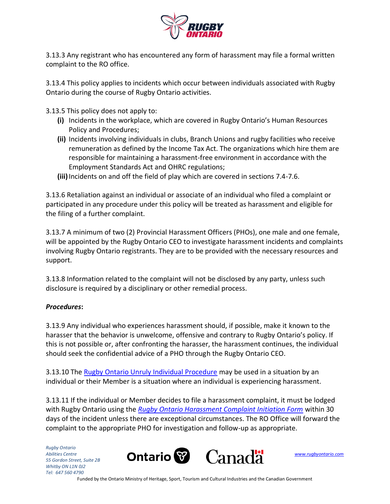

3.13.3 Any registrant who has encountered any form of harassment may file a formal written complaint to the RO office.

3.13.4 This policy applies to incidents which occur between individuals associated with Rugby Ontario during the course of Rugby Ontario activities.

3.13.5 This policy does not apply to:

- **(i)** Incidents in the workplace, which are covered in Rugby Ontario's Human Resources Policy and Procedures;
- **(ii)** Incidents involving individuals in clubs, Branch Unions and rugby facilities who receive remuneration as defined by the Income Tax Act. The organizations which hire them are responsible for maintaining a harassment-free environment in accordance with the Employment Standards Act and OHRC regulations;
- **(iii)**Incidents on and off the field of play which are covered in sections 7.4-7.6.

3.13.6 Retaliation against an individual or associate of an individual who filed a complaint or participated in any procedure under this policy will be treated as harassment and eligible for the filing of a further complaint.

3.13.7 A minimum of two (2) Provincial Harassment Officers (PHOs), one male and one female, will be appointed by the Rugby Ontario CEO to investigate harassment incidents and complaints involving Rugby Ontario registrants. They are to be provided with the necessary resources and support.

3.13.8 Information related to the complaint will not be disclosed by any party, unless such disclosure is required by a disciplinary or other remedial process.

#### *Procedures***:**

3.13.9 Any individual who experiences harassment should, if possible, make it known to the harasser that the behavior is unwelcome, offensive and contrary to Rugby Ontario's policy. If this is not possible or, after confronting the harasser, the harassment continues, the individual should seek the confidential advice of a PHO through the Rugby Ontario CEO.

3.13.10 The [Rugby Ontario Unruly Individual Procedure](http://sportlomo-userupload.s3.amazonaws.com/uploaded/galleries/13555_uploaded/Policies%2FForms/Policies/ROUnrulyIndividualsProcedure_1491505851.pdf) may be used in a situation by an individual or their Member is a situation where an individual is experiencing harassment.

3.13.11 If the individual or Member decides to file a harassment complaint, it must be lodged with Rugby Ontario using the *[Rugby Ontario Harassment Complaint Initiation Form](http://sportlomo-userupload.s3.amazonaws.com/uploaded/galleries/13555_uploaded/70b78547aeeca2b4c3fe659743f3dca73cce3dcd.pdf)* within 30 days of the incident unless there are exceptional circumstances. The RO Office will forward the complaint to the appropriate PHO for investigation and follow-up as appropriate.

*Rugby Ontario 55 Gordon Street, Suite 2B Whitby ON L1N 0J2 Tel: 647 560 4790*



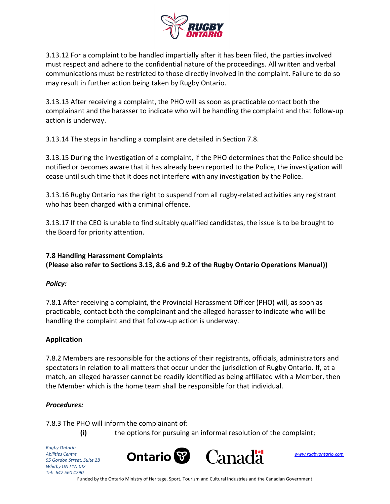

3.13.12 For a complaint to be handled impartially after it has been filed, the parties involved must respect and adhere to the confidential nature of the proceedings. All written and verbal communications must be restricted to those directly involved in the complaint. Failure to do so may result in further action being taken by Rugby Ontario.

3.13.13 After receiving a complaint, the PHO will as soon as practicable contact both the complainant and the harasser to indicate who will be handling the complaint and that follow-up action is underway.

3.13.14 The steps in handling a complaint are detailed in Section 7.8.

3.13.15 During the investigation of a complaint, if the PHO determines that the Police should be notified or becomes aware that it has already been reported to the Police, the investigation will cease until such time that it does not interfere with any investigation by the Police.

3.13.16 Rugby Ontario has the right to suspend from all rugby-related activities any registrant who has been charged with a criminal offence.

3.13.17 If the CEO is unable to find suitably qualified candidates, the issue is to be brought to the Board for priority attention.

## **7.8 Handling Harassment Complaints (Please also refer to Sections 3.13, 8.6 and 9.2 of the Rugby Ontario Operations Manual))**

## *Policy:*

7.8.1 After receiving a complaint, the Provincial Harassment Officer (PHO) will, as soon as practicable, contact both the complainant and the alleged harasser to indicate who will be handling the complaint and that follow-up action is underway.

## **Application**

7.8.2 Members are responsible for the actions of their registrants, officials, administrators and spectators in relation to all matters that occur under the jurisdiction of Rugby Ontario. If, at a match, an alleged harasser cannot be readily identified as being affiliated with a Member, then the Member which is the home team shall be responsible for that individual.

## *Procedures:*

7.8.3 The PHO will inform the complainant of:

**(i)** the options for pursuing an informal resolution of the complaint;

*Rugby Ontario 55 Gordon Street, Suite 2B Whitby ON L1N 0J2 Tel: 647 560 4790*



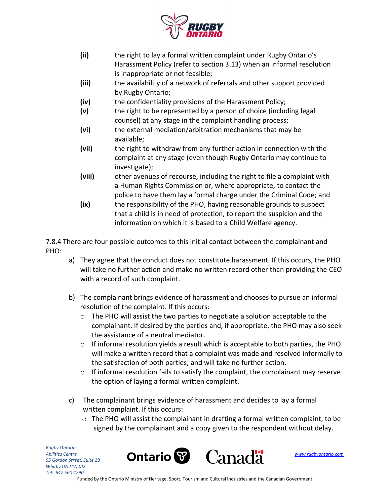

- **(ii)** the right to lay a formal written complaint under Rugby Ontario's Harassment Policy (refer to section 3.13) when an informal resolution is inappropriate or not feasible;
- **(iii)** the availability of a network of referrals and other support provided by Rugby Ontario;
- **(iv)** the confidentiality provisions of the Harassment Policy;
- **(v)** the right to be represented by a person of choice (including legal counsel) at any stage in the complaint handling process;
- **(vi)** the external mediation/arbitration mechanisms that may be available;
- **(vii)** the right to withdraw from any further action in connection with the complaint at any stage (even though Rugby Ontario may continue to investigate);
- **(viii)** other avenues of recourse, including the right to file a complaint with a Human Rights Commission or, where appropriate, to contact the police to have them lay a formal charge under the Criminal Code; and
- **(ix)** the responsibility of the PHO, having reasonable grounds to suspect that a child is in need of protection, to report the suspicion and the information on which it is based to a Child Welfare agency.

7.8.4 There are four possible outcomes to this initial contact between the complainant and PHO:

- a) They agree that the conduct does not constitute harassment. If this occurs, the PHO will take no further action and make no written record other than providing the CEO with a record of such complaint.
- b) The complainant brings evidence of harassment and chooses to pursue an informal resolution of the complaint. If this occurs:
	- $\circ$  The PHO will assist the two parties to negotiate a solution acceptable to the complainant. If desired by the parties and, if appropriate, the PHO may also seek the assistance of a neutral mediator.
	- $\circ$  If informal resolution yields a result which is acceptable to both parties, the PHO will make a written record that a complaint was made and resolved informally to the satisfaction of both parties; and will take no further action.
	- $\circ$  If informal resolution fails to satisfy the complaint, the complainant may reserve the option of laying a formal written complaint.
- c) The complainant brings evidence of harassment and decides to lay a formal written complaint. If this occurs:
	- $\circ$  The PHO will assist the complainant in drafting a formal written complaint, to be signed by the complainant and a copy given to the respondent without delay.

*Rugby Ontario 55 Gordon Street, Suite 2B Whitby ON L1N 0J2 Tel: 647 560 4790*





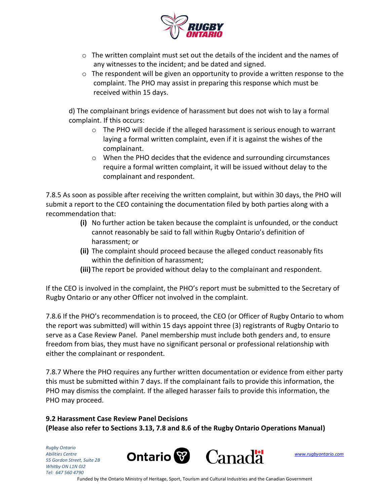

- $\circ$  The written complaint must set out the details of the incident and the names of any witnesses to the incident; and be dated and signed.
- $\circ$  The respondent will be given an opportunity to provide a written response to the complaint. The PHO may assist in preparing this response which must be received within 15 days.

d) The complainant brings evidence of harassment but does not wish to lay a formal complaint. If this occurs:

- $\circ$  The PHO will decide if the alleged harassment is serious enough to warrant laying a formal written complaint, even if it is against the wishes of the complainant.
- o When the PHO decides that the evidence and surrounding circumstances require a formal written complaint, it will be issued without delay to the complainant and respondent.

7.8.5 As soon as possible after receiving the written complaint, but within 30 days, the PHO will submit a report to the CEO containing the documentation filed by both parties along with a recommendation that:

- **(i)** No further action be taken because the complaint is unfounded, or the conduct cannot reasonably be said to fall within Rugby Ontario's definition of harassment; or
- **(ii)** The complaint should proceed because the alleged conduct reasonably fits within the definition of harassment;
- **(iii)** The report be provided without delay to the complainant and respondent.

If the CEO is involved in the complaint, the PHO's report must be submitted to the Secretary of Rugby Ontario or any other Officer not involved in the complaint.

7.8.6 If the PHO's recommendation is to proceed, the CEO (or Officer of Rugby Ontario to whom the report was submitted) will within 15 days appoint three (3) registrants of Rugby Ontario to serve as a Case Review Panel. Panel membership must include both genders and, to ensure freedom from bias, they must have no significant personal or professional relationship with either the complainant or respondent.

7.8.7 Where the PHO requires any further written documentation or evidence from either party this must be submitted within 7 days. If the complainant fails to provide this information, the PHO may dismiss the complaint. If the alleged harasser fails to provide this information, the PHO may proceed.

## **9.2 Harassment Case Review Panel Decisions (Please also refer to Sections 3.13, 7.8 and 8.6 of the Rugby Ontario Operations Manual)**

*Rugby Ontario 55 Gordon Street, Suite 2B Whitby ON L1N 0J2 Tel: 647 560 4790*

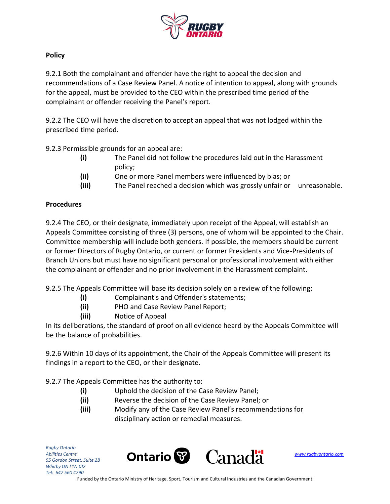

### **Policy**

9.2.1 Both the complainant and offender have the right to appeal the decision and recommendations of a Case Review Panel. A notice of intention to appeal, along with grounds for the appeal, must be provided to the CEO within the prescribed time period of the complainant or offender receiving the Panel's report.

9.2.2 The CEO will have the discretion to accept an appeal that was not lodged within the prescribed time period.

9.2.3 Permissible grounds for an appeal are:

- **(i)** The Panel did not follow the procedures laid out in the Harassment policy;
- **(ii)** One or more Panel members were influenced by bias; or
- **(iii)** The Panel reached a decision which was grossly unfair or unreasonable.

### **Procedures**

9.2.4 The CEO, or their designate, immediately upon receipt of the Appeal, will establish an Appeals Committee consisting of three (3) persons, one of whom will be appointed to the Chair. Committee membership will include both genders. If possible, the members should be current or former Directors of Rugby Ontario, or current or former Presidents and Vice-Presidents of Branch Unions but must have no significant personal or professional involvement with either the complainant or offender and no prior involvement in the Harassment complaint.

9.2.5 The Appeals Committee will base its decision solely on a review of the following:

- **(i)** Complainant's and Offender's statements;
- **(ii)** PHO and Case Review Panel Report;
- **(iii)** Notice of Appeal

In its deliberations, the standard of proof on all evidence heard by the Appeals Committee will be the balance of probabilities.

9.2.6 Within 10 days of its appointment, the Chair of the Appeals Committee will present its findings in a report to the CEO, or their designate.

9.2.7 The Appeals Committee has the authority to:

- **(i)** Uphold the decision of the Case Review Panel;
- **(ii)** Reverse the decision of the Case Review Panel; or
- **(iii)** Modify any of the Case Review Panel's recommendations for disciplinary action or remedial measures.

*Rugby Ontario 55 Gordon Street, Suite 2B Whitby ON L1N 0J2 Tel: 647 560 4790*